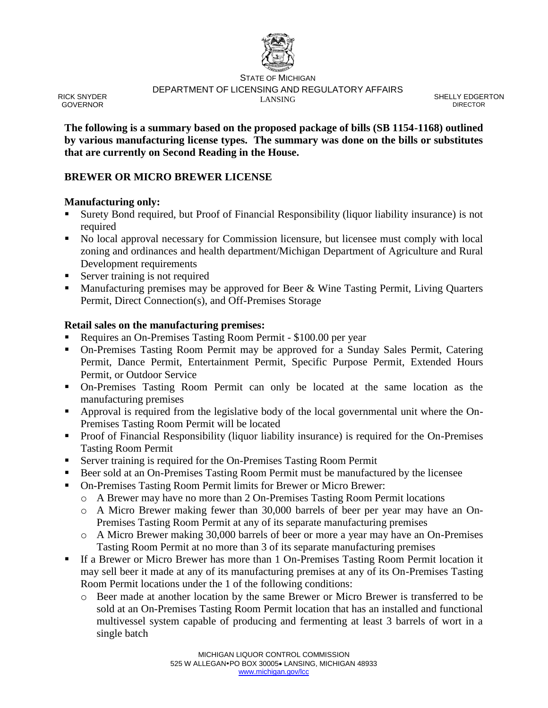

STATE OF MICHIGAN DEPARTMENT OF LICENSING AND REGULATORY AFFAIRS LANSING COMMUNICATION SHELLY EDGERTON

DIRECTOR

**The following is a summary based on the proposed package of bills (SB 1154-1168) outlined by various manufacturing license types. The summary was done on the bills or substitutes that are currently on Second Reading in the House.**

## **BREWER OR MICRO BREWER LICENSE**

### **Manufacturing only:**

RICK SNYDER GOVERNOR

- Surety Bond required, but Proof of Financial Responsibility (liquor liability insurance) is not required
- No local approval necessary for Commission licensure, but licensee must comply with local zoning and ordinances and health department/Michigan Department of Agriculture and Rural Development requirements
- Server training is not required
- Manufacturing premises may be approved for Beer & Wine Tasting Permit, Living Quarters Permit, Direct Connection(s), and Off-Premises Storage

### **Retail sales on the manufacturing premises:**

- Requires an On-Premises Tasting Room Permit \$100.00 per year
- On-Premises Tasting Room Permit may be approved for a Sunday Sales Permit, Catering Permit, Dance Permit, Entertainment Permit, Specific Purpose Permit, Extended Hours Permit, or Outdoor Service
- On-Premises Tasting Room Permit can only be located at the same location as the manufacturing premises
- **•** Approval is required from the legislative body of the local governmental unit where the On-Premises Tasting Room Permit will be located
- Proof of Financial Responsibility (liquor liability insurance) is required for the On-Premises Tasting Room Permit
- Server training is required for the On-Premises Tasting Room Permit
- Beer sold at an On-Premises Tasting Room Permit must be manufactured by the licensee
- On-Premises Tasting Room Permit limits for Brewer or Micro Brewer:
	- o A Brewer may have no more than 2 On-Premises Tasting Room Permit locations
	- o A Micro Brewer making fewer than 30,000 barrels of beer per year may have an On-Premises Tasting Room Permit at any of its separate manufacturing premises
	- o A Micro Brewer making 30,000 barrels of beer or more a year may have an On-Premises Tasting Room Permit at no more than 3 of its separate manufacturing premises
- If a Brewer or Micro Brewer has more than 1 On-Premises Tasting Room Permit location it may sell beer it made at any of its manufacturing premises at any of its On-Premises Tasting Room Permit locations under the 1 of the following conditions:
	- o Beer made at another location by the same Brewer or Micro Brewer is transferred to be sold at an On-Premises Tasting Room Permit location that has an installed and functional multivessel system capable of producing and fermenting at least 3 barrels of wort in a single batch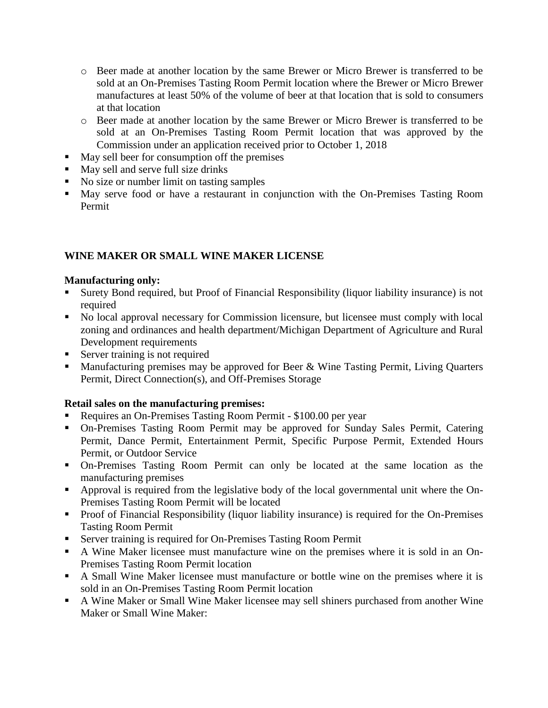- o Beer made at another location by the same Brewer or Micro Brewer is transferred to be sold at an On-Premises Tasting Room Permit location where the Brewer or Micro Brewer manufactures at least 50% of the volume of beer at that location that is sold to consumers at that location
- o Beer made at another location by the same Brewer or Micro Brewer is transferred to be sold at an On-Premises Tasting Room Permit location that was approved by the Commission under an application received prior to October 1, 2018
- May sell beer for consumption off the premises
- May sell and serve full size drinks
- No size or number limit on tasting samples
- May serve food or have a restaurant in conjunction with the On-Premises Tasting Room Permit

# **WINE MAKER OR SMALL WINE MAKER LICENSE**

### **Manufacturing only:**

- Surety Bond required, but Proof of Financial Responsibility (liquor liability insurance) is not required
- No local approval necessary for Commission licensure, but licensee must comply with local zoning and ordinances and health department/Michigan Department of Agriculture and Rural Development requirements
- Server training is not required
- Manufacturing premises may be approved for Beer & Wine Tasting Permit, Living Quarters Permit, Direct Connection(s), and Off-Premises Storage

## **Retail sales on the manufacturing premises:**

- Requires an On-Premises Tasting Room Permit \$100.00 per year
- On-Premises Tasting Room Permit may be approved for Sunday Sales Permit, Catering Permit, Dance Permit, Entertainment Permit, Specific Purpose Permit, Extended Hours Permit, or Outdoor Service
- On-Premises Tasting Room Permit can only be located at the same location as the manufacturing premises
- **•** Approval is required from the legislative body of the local governmental unit where the On-Premises Tasting Room Permit will be located
- Proof of Financial Responsibility (liquor liability insurance) is required for the On-Premises Tasting Room Permit
- **EXECUTE:** Server training is required for On-Premises Tasting Room Permit
- A Wine Maker licensee must manufacture wine on the premises where it is sold in an On-Premises Tasting Room Permit location
- A Small Wine Maker licensee must manufacture or bottle wine on the premises where it is sold in an On-Premises Tasting Room Permit location
- A Wine Maker or Small Wine Maker licensee may sell shiners purchased from another Wine Maker or Small Wine Maker: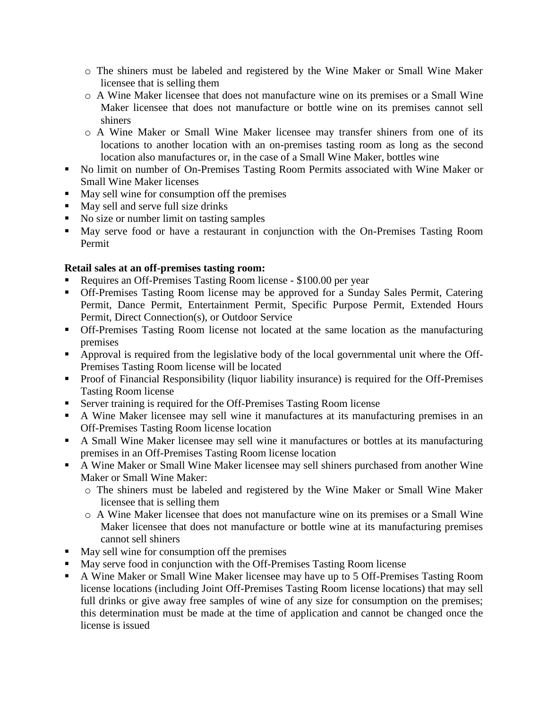- o The shiners must be labeled and registered by the Wine Maker or Small Wine Maker licensee that is selling them
- o A Wine Maker licensee that does not manufacture wine on its premises or a Small Wine Maker licensee that does not manufacture or bottle wine on its premises cannot sell shiners
- o A Wine Maker or Small Wine Maker licensee may transfer shiners from one of its locations to another location with an on-premises tasting room as long as the second location also manufactures or, in the case of a Small Wine Maker, bottles wine
- No limit on number of On-Premises Tasting Room Permits associated with Wine Maker or Small Wine Maker licenses
- May sell wine for consumption off the premises
- May sell and serve full size drinks
- No size or number limit on tasting samples
- May serve food or have a restaurant in conjunction with the On-Premises Tasting Room Permit

## **Retail sales at an off-premises tasting room:**

- Requires an Off-Premises Tasting Room license \$100.00 per year
- **Off-Premises Tasting Room license may be approved for a Sunday Sales Permit, Catering** Permit, Dance Permit, Entertainment Permit, Specific Purpose Permit, Extended Hours Permit, Direct Connection(s), or Outdoor Service
- **Off-Premises Tasting Room license not located at the same location as the manufacturing** premises
- Approval is required from the legislative body of the local governmental unit where the Off-Premises Tasting Room license will be located
- Proof of Financial Responsibility (liquor liability insurance) is required for the Off-Premises Tasting Room license
- Server training is required for the Off-Premises Tasting Room license
- A Wine Maker licensee may sell wine it manufactures at its manufacturing premises in an Off-Premises Tasting Room license location
- A Small Wine Maker licensee may sell wine it manufactures or bottles at its manufacturing premises in an Off-Premises Tasting Room license location
- A Wine Maker or Small Wine Maker licensee may sell shiners purchased from another Wine Maker or Small Wine Maker:
	- o The shiners must be labeled and registered by the Wine Maker or Small Wine Maker licensee that is selling them
	- o A Wine Maker licensee that does not manufacture wine on its premises or a Small Wine Maker licensee that does not manufacture or bottle wine at its manufacturing premises cannot sell shiners
- May sell wine for consumption off the premises
- May serve food in conjunction with the Off-Premises Tasting Room license
- A Wine Maker or Small Wine Maker licensee may have up to 5 Off-Premises Tasting Room license locations (including Joint Off-Premises Tasting Room license locations) that may sell full drinks or give away free samples of wine of any size for consumption on the premises; this determination must be made at the time of application and cannot be changed once the license is issued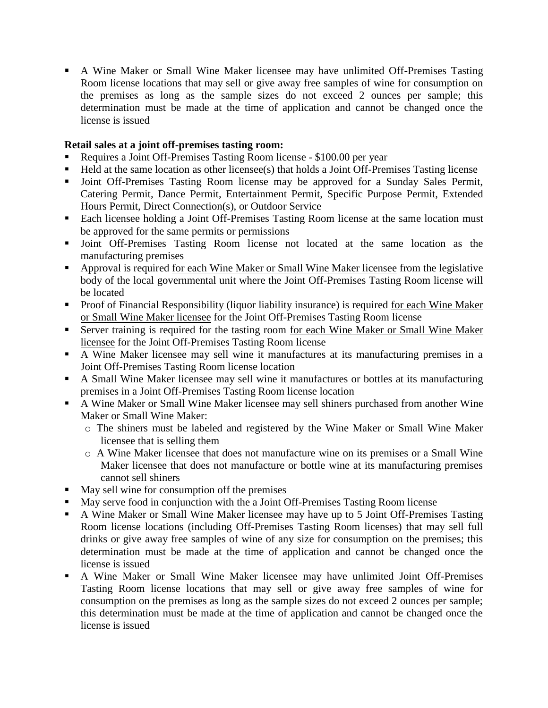▪ A Wine Maker or Small Wine Maker licensee may have unlimited Off-Premises Tasting Room license locations that may sell or give away free samples of wine for consumption on the premises as long as the sample sizes do not exceed 2 ounces per sample; this determination must be made at the time of application and cannot be changed once the license is issued

### **Retail sales at a joint off-premises tasting room:**

- Requires a Joint Off-Premises Tasting Room license \$100.00 per year
- Held at the same location as other licensee(s) that holds a Joint Off-Premises Tasting license
- **•** Joint Off-Premises Tasting Room license may be approved for a Sunday Sales Permit, Catering Permit, Dance Permit, Entertainment Permit, Specific Purpose Permit, Extended Hours Permit, Direct Connection(s), or Outdoor Service
- Each licensee holding a Joint Off-Premises Tasting Room license at the same location must be approved for the same permits or permissions
- Joint Off-Premises Tasting Room license not located at the same location as the manufacturing premises
- Approval is required for each Wine Maker or Small Wine Maker licensee from the legislative body of the local governmental unit where the Joint Off-Premises Tasting Room license will be located
- Proof of Financial Responsibility (liquor liability insurance) is required for each Wine Maker or Small Wine Maker licensee for the Joint Off-Premises Tasting Room license
- Server training is required for the tasting room for each Wine Maker or Small Wine Maker licensee for the Joint Off-Premises Tasting Room license
- A Wine Maker licensee may sell wine it manufactures at its manufacturing premises in a Joint Off-Premises Tasting Room license location
- A Small Wine Maker licensee may sell wine it manufactures or bottles at its manufacturing premises in a Joint Off-Premises Tasting Room license location
- A Wine Maker or Small Wine Maker licensee may sell shiners purchased from another Wine Maker or Small Wine Maker:
	- o The shiners must be labeled and registered by the Wine Maker or Small Wine Maker licensee that is selling them
	- o A Wine Maker licensee that does not manufacture wine on its premises or a Small Wine Maker licensee that does not manufacture or bottle wine at its manufacturing premises cannot sell shiners
- May sell wine for consumption off the premises
- May serve food in conjunction with the a Joint Off-Premises Tasting Room license
- A Wine Maker or Small Wine Maker licensee may have up to 5 Joint Off-Premises Tasting Room license locations (including Off-Premises Tasting Room licenses) that may sell full drinks or give away free samples of wine of any size for consumption on the premises; this determination must be made at the time of application and cannot be changed once the license is issued
- A Wine Maker or Small Wine Maker licensee may have unlimited Joint Off-Premises Tasting Room license locations that may sell or give away free samples of wine for consumption on the premises as long as the sample sizes do not exceed 2 ounces per sample; this determination must be made at the time of application and cannot be changed once the license is issued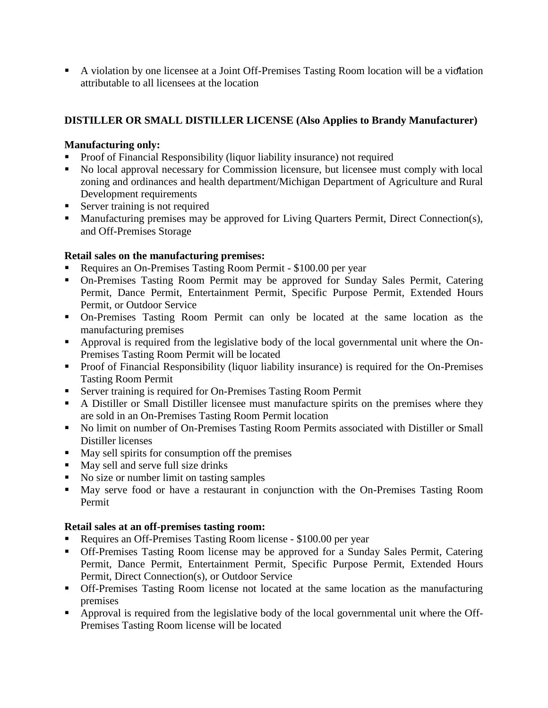▪ A violation by one licensee at a Joint Off-Premises Tasting Room location will be a violation attributable to all licensees at the location

# **DISTILLER OR SMALL DISTILLER LICENSE (Also Applies to Brandy Manufacturer)**

# **Manufacturing only:**

- Proof of Financial Responsibility (liquor liability insurance) not required
- No local approval necessary for Commission licensure, but licensee must comply with local zoning and ordinances and health department/Michigan Department of Agriculture and Rural Development requirements
- Server training is not required
- Manufacturing premises may be approved for Living Quarters Permit, Direct Connection(s), and Off-Premises Storage

# **Retail sales on the manufacturing premises:**

- Requires an On-Premises Tasting Room Permit \$100.00 per year
- On-Premises Tasting Room Permit may be approved for Sunday Sales Permit, Catering Permit, Dance Permit, Entertainment Permit, Specific Purpose Permit, Extended Hours Permit, or Outdoor Service
- On-Premises Tasting Room Permit can only be located at the same location as the manufacturing premises
- **•** Approval is required from the legislative body of the local governmental unit where the On-Premises Tasting Room Permit will be located
- Proof of Financial Responsibility (liquor liability insurance) is required for the On-Premises Tasting Room Permit
- **Exercise 1** Server training is required for On-Premises Tasting Room Permit
- A Distiller or Small Distiller licensee must manufacture spirits on the premises where they are sold in an On-Premises Tasting Room Permit location
- No limit on number of On-Premises Tasting Room Permits associated with Distiller or Small Distiller licenses
- May sell spirits for consumption off the premises
- May sell and serve full size drinks
- No size or number limit on tasting samples
- May serve food or have a restaurant in conjunction with the On-Premises Tasting Room Permit

## **Retail sales at an off-premises tasting room:**

- Requires an Off-Premises Tasting Room license \$100.00 per year
- **Off-Premises Tasting Room license may be approved for a Sunday Sales Permit, Catering** Permit, Dance Permit, Entertainment Permit, Specific Purpose Permit, Extended Hours Permit, Direct Connection(s), or Outdoor Service
- **Off-Premises Tasting Room license not located at the same location as the manufacturing** premises
- Approval is required from the legislative body of the local governmental unit where the Off-Premises Tasting Room license will be located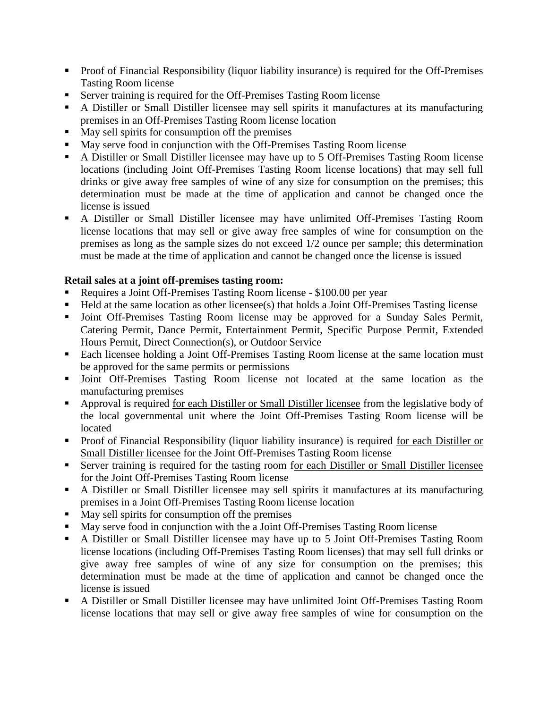- Proof of Financial Responsibility (liquor liability insurance) is required for the Off-Premises Tasting Room license
- Server training is required for the Off-Premises Tasting Room license
- A Distiller or Small Distiller licensee may sell spirits it manufactures at its manufacturing premises in an Off-Premises Tasting Room license location
- May sell spirits for consumption off the premises
- May serve food in conjunction with the Off-Premises Tasting Room license
- A Distiller or Small Distiller licensee may have up to 5 Off-Premises Tasting Room license locations (including Joint Off-Premises Tasting Room license locations) that may sell full drinks or give away free samples of wine of any size for consumption on the premises; this determination must be made at the time of application and cannot be changed once the license is issued
- A Distiller or Small Distiller licensee may have unlimited Off-Premises Tasting Room license locations that may sell or give away free samples of wine for consumption on the premises as long as the sample sizes do not exceed 1/2 ounce per sample; this determination must be made at the time of application and cannot be changed once the license is issued

## **Retail sales at a joint off-premises tasting room:**

- Requires a Joint Off-Premises Tasting Room license \$100.00 per year
- Held at the same location as other licensee(s) that holds a Joint Off-Premises Tasting license
- Joint Off-Premises Tasting Room license may be approved for a Sunday Sales Permit, Catering Permit, Dance Permit, Entertainment Permit, Specific Purpose Permit, Extended Hours Permit, Direct Connection(s), or Outdoor Service
- Each licensee holding a Joint Off-Premises Tasting Room license at the same location must be approved for the same permits or permissions
- Joint Off-Premises Tasting Room license not located at the same location as the manufacturing premises
- Approval is required for each Distiller or Small Distiller licensee from the legislative body of the local governmental unit where the Joint Off-Premises Tasting Room license will be located
- Proof of Financial Responsibility (liquor liability insurance) is required for each Distiller or Small Distiller licensee for the Joint Off-Premises Tasting Room license
- Server training is required for the tasting room for each Distiller or Small Distiller licensee for the Joint Off-Premises Tasting Room license
- A Distiller or Small Distiller licensee may sell spirits it manufactures at its manufacturing premises in a Joint Off-Premises Tasting Room license location
- May sell spirits for consumption off the premises
- May serve food in conjunction with the a Joint Off-Premises Tasting Room license
- A Distiller or Small Distiller licensee may have up to 5 Joint Off-Premises Tasting Room license locations (including Off-Premises Tasting Room licenses) that may sell full drinks or give away free samples of wine of any size for consumption on the premises; this determination must be made at the time of application and cannot be changed once the license is issued
- A Distiller or Small Distiller licensee may have unlimited Joint Off-Premises Tasting Room license locations that may sell or give away free samples of wine for consumption on the